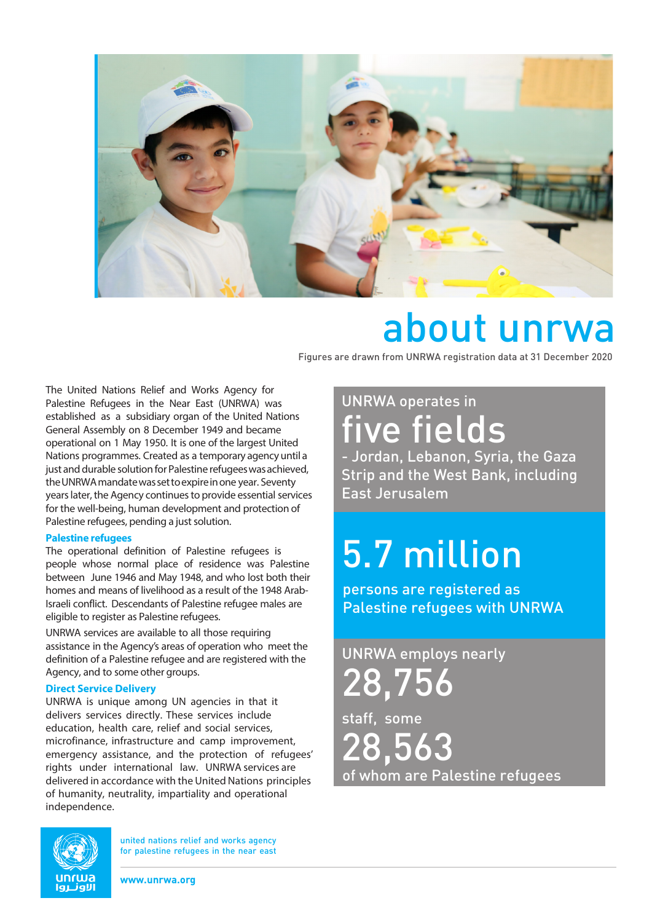

## about unrwa

Figures are drawn from UNRWA registration data at 31 December 2020

The United Nations Relief and Works Agency for Palestine Refugees in the Near East (UNRWA) was established as a subsidiary organ of the United Nations General Assembly on 8 December 1949 and became operational on 1 May 1950. It is one of the largest United Nations programmes. Created as a temporary agency until a just and durable solution for Palestine refugees was achieved, the UNRWA mandate was set to expire in one year. Seventy years later, the Agency continues to provide essential services for the well-being, human development and protection of Palestine refugees, pending a just solution.

#### **Palestine refugees**

The operational definition of Palestine refugees is people whose normal place of residence was Palestine between June 1946 and May 1948, and who lost both their homes and means of livelihood as a result of the 1948 Arab-Israeli conflict. Descendants of Palestine refugee males are eligible to register as Palestine refugees.

UNRWA services are available to all those requiring assistance in the Agency's areas of operation who meet the definition of a Palestine refugee and are registered with the Agency, and to some other groups.

#### **Direct Service Delivery**

UNRWA is unique among UN agencies in that it delivers services directly. These services include education, health care, relief and social services, microfinance, infrastructure and camp improvement, emergency assistance, and the protection of refugees' rights under international law. UNRWA services are delivered in accordance with the United Nations principles of humanity, neutrality, impartiality and operational independence.

### UNRWA operates in five fields

- Jordan, Lebanon, Syria, the Gaza Strip and the West Bank, including East Jerusalem

# 5.7 million

persons are registered as Palestine refugees with UNRWA

### UNRWA employs nearly 28,756

staff, some 28,563 of whom are Palestine refugees



**www.unrwa.org**